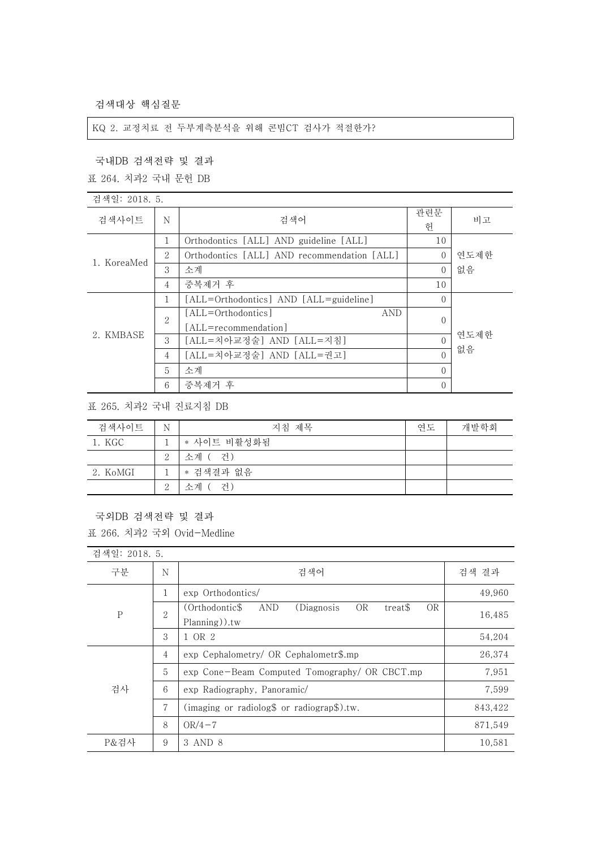검색대상 핵심질문

### KQ 2. 교정치료 전 두부계측분석을 위해 콘빔CT 검사가 적절한가?

# 국내DB 검색전략 및 결과

표 264. 치과2 국내 문헌 DB

| 검색일: 2018. 5. |                |                                             |          |      |
|---------------|----------------|---------------------------------------------|----------|------|
| 검색사이트         | N              | 검색어                                         | 관련문      | 비고   |
|               |                |                                             | 헌        |      |
| 1. KoreaMed   | 1              | Orthodontics [ALL] AND guideline [ALL]      | 10       |      |
|               | 2              | Orthodontics [ALL] AND recommendation [ALL] | $\Omega$ | 연도제한 |
|               | 3              | 소계                                          | $\Omega$ | 없음   |
|               | 4              | 중복제거 후                                      | 10       |      |
|               | 1              | [ALL=Orthodontics] AND [ALL=guideline]      | $\Omega$ |      |
|               | $\overline{2}$ | [ALL=Orthodontics]<br>AND                   | $\theta$ |      |
|               |                | [ALL=recommendation]                        |          |      |
| 2. KMBASE     | 3              | [ALL=치아교정술] AND [ALL=지침]                    | $\Omega$ | 연도제한 |
|               | $\overline{4}$ | [ALL=치아교정술] AND [ALL=권고]                    | $\Omega$ | 없음   |
|               | 5              | 소계                                          | $\Omega$ |      |
|               | 6              | 중복제거 후                                      | $\theta$ |      |

표 265. 치과2 국내 진료지침 DB

| 검색사이트    | N              | 지침 제목       | 연도 | 개발학회 |
|----------|----------------|-------------|----|------|
| 1. KGC   |                | * 사이트 비활성화됨 |    |      |
|          | $\overline{2}$ | 소계 ( 거)     |    |      |
| 2. KoMGI |                | * 검색결과 없음   |    |      |
|          | $\Omega$<br>↵  | 거)<br>소계 (  |    |      |

#### 국외DB 검색전략 및 결과

표 266. 치과2 국외 Ovid-Medline

| 검색일: 2018. 5. |                |                                                                                         |         |
|---------------|----------------|-----------------------------------------------------------------------------------------|---------|
| 구분            | N              | 검색어                                                                                     | 검색 결과   |
| $\mathsf{P}$  | T              | exp Orthodontics/                                                                       | 49,960  |
|               | $\sqrt{2}$     | (Orthodontic\$)<br>OR<br>AND<br>(Diagnosis)<br><b>OR</b><br>treat\$<br>$Planning)$ ).tw | 16,485  |
|               | 3              | 1 OR 2                                                                                  | 54,204  |
| 검사            | $\overline{4}$ | exp Cephalometry/ OR Cephalometr\$.mp                                                   | 26,374  |
|               | 5              | exp Cone-Beam Computed Tomography/ OR CBCT.mp                                           | 7,951   |
|               | 6              | exp Radiography, Panoramic/                                                             | 7,599   |
|               | 7              | (imaging or radiolog\$ or radiograp\$).tw.                                              | 843,422 |
|               | 8              | $OR/4-7$                                                                                | 871,549 |
| P&검사          | 9              | 3 AND 8                                                                                 | 10,581  |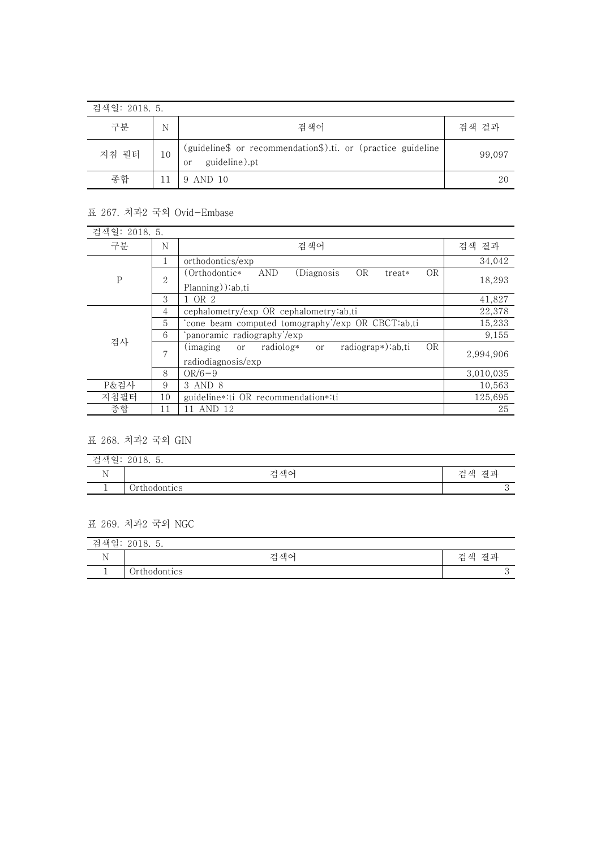| 검색일: 2018. 5. |    |                                                                                     |        |
|---------------|----|-------------------------------------------------------------------------------------|--------|
| 구분            | N  | 검색어                                                                                 | 검색 결과  |
| 지침 필터         | 10 | (guideline\$ or recommendation\$).ti. or (practice guideline<br>guideline).pt<br>or | 99,097 |
| 종합            |    | 9 AND 10                                                                            | 20     |

### 표 267. 치과2 국외 Ovid-Embase

| 검색일: 2018. 5. |                |                                                                                                       |           |
|---------------|----------------|-------------------------------------------------------------------------------------------------------|-----------|
| 구분            | N              | 검색어                                                                                                   | 검색 결과     |
| $\mathsf{P}$  |                | orthodontics/exp                                                                                      | 34,042    |
|               | $\overline{2}$ | (Orthodontic*<br><b>OR</b><br><b>OR</b><br>AND<br>(Diagnosis)<br>treat*                               | 18.293    |
|               |                | $Planning)$ :ab,ti                                                                                    |           |
|               | 3              | 1 OR 2                                                                                                | 41,827    |
|               | 4              | cephalometry/exp OR cephalometry:ab,ti                                                                | 22,378    |
|               | 5              | 'cone beam computed tomography'/exp OR CBCT:ab,ti                                                     | 15,233    |
|               | 6              | panoramic radiography'/exp'                                                                           | 9,155     |
| 검사            | 7              | <b>OR</b><br>radiograp*):ab,ti<br>radiolog*<br>(imaging)<br>or<br><sub>or</sub><br>radiodiagnosis/exp | 2.994.906 |
|               | 8              | $OR/6 - 9$                                                                                            | 3,010,035 |
| P&검사          | 9              | 3 AND 8                                                                                               | 10,563    |
| 지침필터          | 10             | guideline *: ti OR recommendation *: ti                                                               | 125,695   |
| 종합            | 11             | AND 12<br>11                                                                                          | 25        |

# 표 268. 치과2 국외 GIN

| 재이<br>71<br>⋍<br>Ħ<br>$\overline{\phantom{a}}$<br>$-$ | -<br>4010.<br><u>.</u>          |                                                                                   |
|-------------------------------------------------------|---------------------------------|-----------------------------------------------------------------------------------|
| - -<br>т,                                             | 걱색어<br>$\overline{\phantom{a}}$ | 겨교<br>$-$<br>색<br>ごしょう こうきょう こうきょう こうきょう こうきょう こうきょう こうきょう こうきょう こうきょう こうしょう<br>~ |
|                                                       | $1 + 1 -$<br>odontics<br>$\cup$ | ັ                                                                                 |

### 표 269. 치과2 국외 NGC

| 검색일: | 2018.<br>$\sim$<br>ູບ. |       |
|------|------------------------|-------|
| . .  | 검색어                    | 검색 결과 |
|      | Orthodontics           |       |